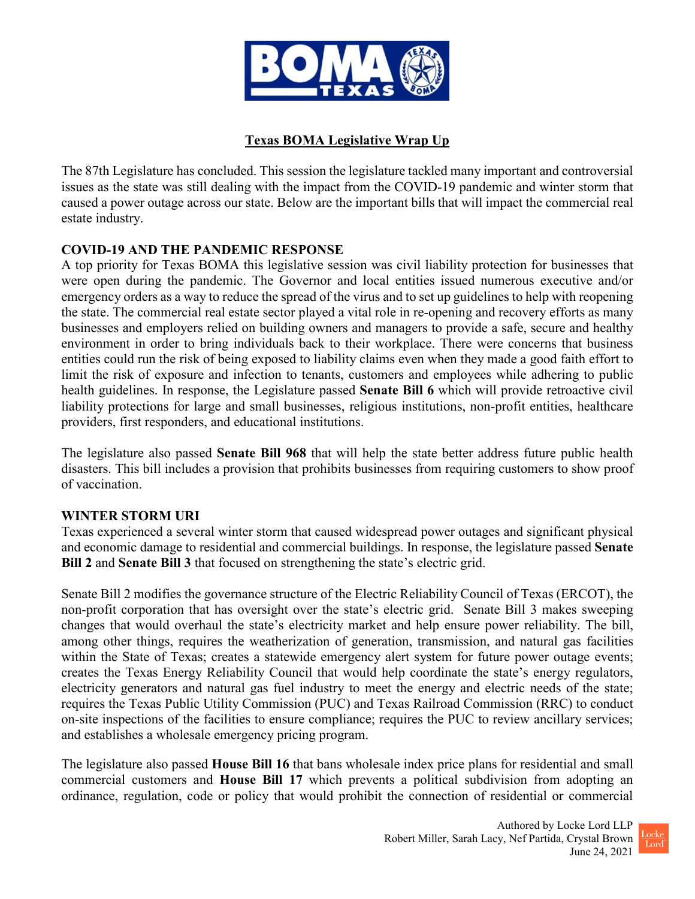

# **Texas BOMA Legislative Wrap Up**

The 87th Legislature has concluded. This session the legislature tackled many important and controversial issues as the state was still dealing with the impact from the COVID-19 pandemic and winter storm that caused a power outage across our state. Below are the important bills that will impact the commercial real estate industry.

# **COVID-19 AND THE PANDEMIC RESPONSE**

A top priority for Texas BOMA this legislative session was civil liability protection for businesses that were open during the pandemic. The Governor and local entities issued numerous executive and/or emergency orders as a way to reduce the spread of the virus and to set up guidelines to help with reopening the state. The commercial real estate sector played a vital role in re-opening and recovery efforts as many businesses and employers relied on building owners and managers to provide a safe, secure and healthy environment in order to bring individuals back to their workplace. There were concerns that business entities could run the risk of being exposed to liability claims even when they made a good faith effort to limit the risk of exposure and infection to tenants, customers and employees while adhering to public health guidelines. In response, the Legislature passed **Senate Bill 6** which will provide retroactive civil liability protections for large and small businesses, religious institutions, non-profit entities, healthcare providers, first responders, and educational institutions.

The legislature also passed **Senate Bill 968** that will help the state better address future public health disasters. This bill includes a provision that prohibits businesses from requiring customers to show proof of vaccination.

#### **WINTER STORM URI**

Texas experienced a several winter storm that caused widespread power outages and significant physical and economic damage to residential and commercial buildings. In response, the legislature passed **Senate Bill 2** and **Senate Bill 3** that focused on strengthening the state's electric grid.

Senate Bill 2 modifies the governance structure of the Electric Reliability Council of Texas (ERCOT), the non-profit corporation that has oversight over the state's electric grid. Senate Bill 3 makes sweeping changes that would overhaul the state's electricity market and help ensure power reliability. The bill, among other things, requires the weatherization of generation, transmission, and natural gas facilities within the State of Texas; creates a statewide emergency alert system for future power outage events; creates the Texas Energy Reliability Council that would help coordinate the state's energy regulators, electricity generators and natural gas fuel industry to meet the energy and electric needs of the state; requires the Texas Public Utility Commission (PUC) and Texas Railroad Commission (RRC) to conduct on-site inspections of the facilities to ensure compliance; requires the PUC to review ancillary services; and establishes a wholesale emergency pricing program.

The legislature also passed **House Bill 16** that bans wholesale index price plans for residential and small commercial customers and **House Bill 17** which prevents a political subdivision from adopting an ordinance, regulation, code or policy that would prohibit the connection of residential or commercial

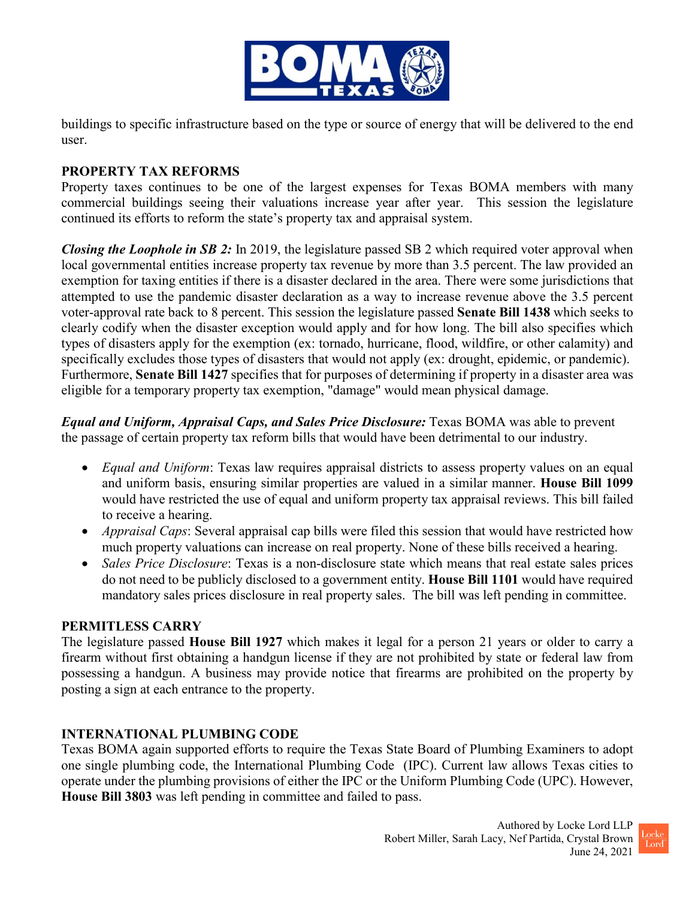

buildings to specific infrastructure based on the type or source of energy that will be delivered to the end user.

### **PROPERTY TAX REFORMS**

Property taxes continues to be one of the largest expenses for Texas BOMA members with many commercial buildings seeing their valuations increase year after year. This session the legislature continued its efforts to reform the state's property tax and appraisal system.

*Closing the Loophole in SB 2:* In 2019, the legislature passed SB 2 which required voter approval when local governmental entities increase property tax revenue by more than 3.5 percent. The law provided an exemption for taxing entities if there is a disaster declared in the area. There were some jurisdictions that attempted to use the pandemic disaster declaration as a way to increase revenue above the 3.5 percent voter-approval rate back to 8 percent. This session the legislature passed **Senate Bill 1438** which seeks to clearly codify when the disaster exception would apply and for how long. The bill also specifies which types of disasters apply for the exemption (ex: tornado, hurricane, flood, wildfire, or other calamity) and specifically excludes those types of disasters that would not apply (ex: drought, epidemic, or pandemic). Furthermore, **Senate Bill 1427** specifies that for purposes of determining if property in a disaster area was eligible for a temporary property tax exemption, "damage" would mean physical damage.

*Equal and Uniform, Appraisal Caps, and Sales Price Disclosure:* Texas BOMA was able to prevent the passage of certain property tax reform bills that would have been detrimental to our industry.

- *Equal and Uniform*: Texas law requires appraisal districts to assess property values on an equal and uniform basis, ensuring similar properties are valued in a similar manner. **House Bill 1099** would have restricted the use of equal and uniform property tax appraisal reviews. This bill failed to receive a hearing.
- *Appraisal Caps*: Several appraisal cap bills were filed this session that would have restricted how much property valuations can increase on real property. None of these bills received a hearing.
- *Sales Price Disclosure*: Texas is a non-disclosure state which means that real estate sales prices do not need to be publicly disclosed to a government entity. **House Bill 1101** would have required mandatory sales prices disclosure in real property sales. The bill was left pending in committee.

#### **PERMITLESS CARRY**

The legislature passed **House Bill 1927** which makes it legal for a person 21 years or older to carry a firearm without first obtaining a handgun license if they are not prohibited by state or federal law from possessing a handgun. A business may provide notice that firearms are prohibited on the property by posting a sign at each entrance to the property.

# **INTERNATIONAL PLUMBING CODE**

Texas BOMA again supported efforts to require the Texas State Board of Plumbing Examiners to adopt one single plumbing code, the International Plumbing Code (IPC). Current law allows Texas cities to operate under the plumbing provisions of either the IPC or the Uniform Plumbing Code (UPC). However, **House Bill 3803** was left pending in committee and failed to pass.